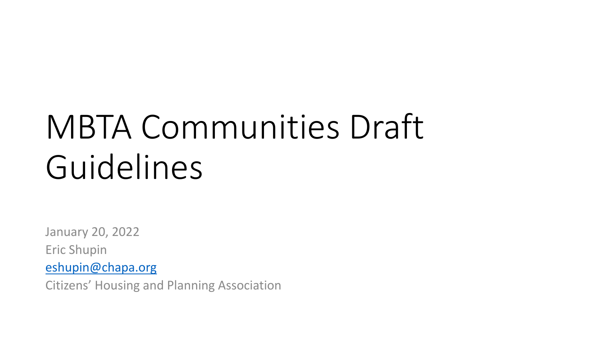# MBTA Communities Draft Guidelines

January 20, 2022 Eric Shupin [eshupin@chapa.org](mailto:eshupin@chapa.org)

Citizens' Housing and Planning Association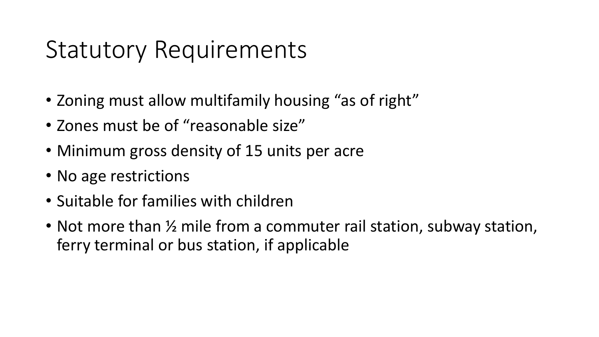#### Statutory Requirements

- Zoning must allow multifamily housing "as of right"
- Zones must be of "reasonable size"
- Minimum gross density of 15 units per acre
- No age restrictions
- Suitable for families with children
- Not more than  $\frac{1}{2}$  mile from a commuter rail station, subway station, ferry terminal or bus station, if applicable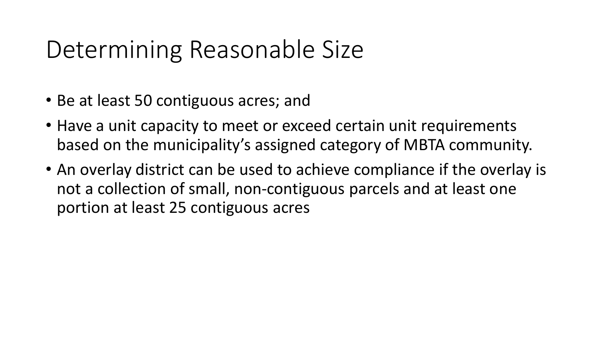#### Determining Reasonable Size

- Be at least 50 contiguous acres; and
- Have a unit capacity to meet or exceed certain unit requirements based on the municipality's assigned category of MBTA community.
- An overlay district can be used to achieve compliance if the overlay is not a collection of small, non-contiguous parcels and at least one portion at least 25 contiguous acres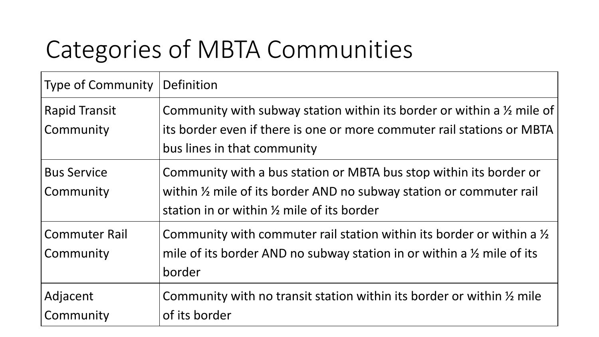### Categories of MBTA Communities

| <b>Type of Community</b>          | Definition                                                                                                                                                                                          |
|-----------------------------------|-----------------------------------------------------------------------------------------------------------------------------------------------------------------------------------------------------|
| <b>Rapid Transit</b><br>Community | Community with subway station within its border or within a $\frac{1}{2}$ mile of<br>its border even if there is one or more commuter rail stations or MBTA<br>bus lines in that community          |
| <b>Bus Service</b><br>Community   | Community with a bus station or MBTA bus stop within its border or<br>within 1/2 mile of its border AND no subway station or commuter rail<br>station in or within $\frac{1}{2}$ mile of its border |
| <b>Commuter Rail</b><br>Community | Community with commuter rail station within its border or within a $\frac{1}{2}$<br>mile of its border AND no subway station in or within a $\frac{1}{2}$ mile of its<br>border                     |
| Adjacent<br>Community             | Community with no transit station within its border or within $\frac{1}{2}$ mile<br>of its border                                                                                                   |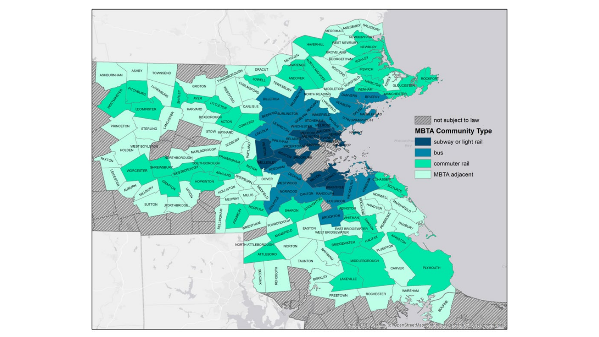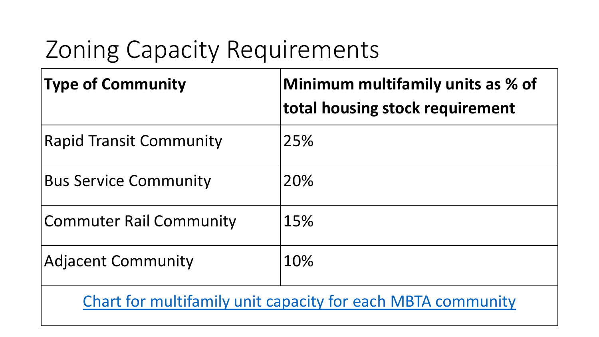### Zoning Capacity Requirements

| <b>Type of Community</b>                                    | Minimum multifamily units as % of<br>total housing stock requirement |  |  |
|-------------------------------------------------------------|----------------------------------------------------------------------|--|--|
| <b>Rapid Transit Community</b>                              | 25%                                                                  |  |  |
| <b>Bus Service Community</b>                                | 20%                                                                  |  |  |
| <b>Commuter Rail Community</b>                              | 15%                                                                  |  |  |
| <b>Adjacent Community</b>                                   | 10%                                                                  |  |  |
| Chart for multifamily unit capacity for each MBTA community |                                                                      |  |  |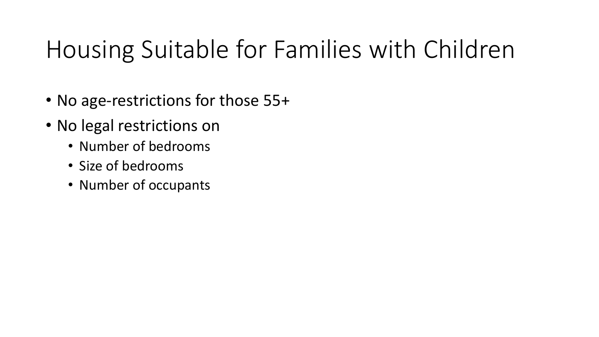#### Housing Suitable for Families with Children

- No age-restrictions for those 55+
- No legal restrictions on
	- Number of bedrooms
	- Size of bedrooms
	- Number of occupants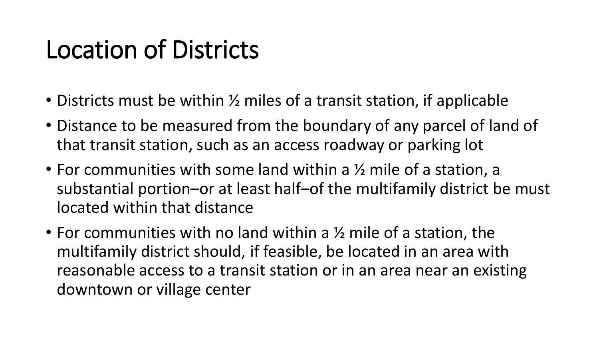#### Location of Districts

- Districts must be within  $\frac{1}{2}$  miles of a transit station, if applicable
- Distance to be measured from the boundary of any parcel of land of that transit station, such as an access roadway or parking lot
- For communities with some land within a ½ mile of a station, a substantial portion–or at least half–of the multifamily district be must located within that distance
- For communities with no land within a ½ mile of a station, the multifamily district should, if feasible, be located in an area with reasonable access to a transit station or in an area near an existing downtown or village center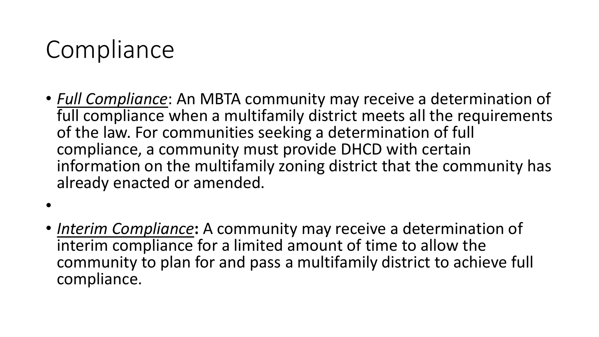#### Compliance

- *Full Compliance*: An MBTA community may receive a determination of full compliance when a multifamily district meets all the requirements of the law. For communities seeking a determination of full compliance, a community must provide DHCD with certain information on the multifamily zoning district that the community has already enacted or amended.
- •
- *Interim Compliance***:** A community may receive a determination of interim compliance for a limited amount of time to allow the community to plan for and pass a multifamily district to achieve full compliance.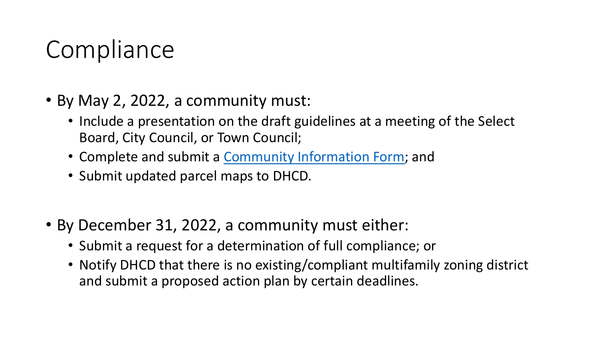#### Compliance

- By May 2, 2022, a community must:
	- Include a presentation on the draft guidelines at a meeting of the Select Board, City Council, or Town Council;
	- Complete and submit a [Community Information Form;](https://www.mass.gov/forms/mbta-community-information-form) and
	- Submit updated parcel maps to DHCD.
- By December 31, 2022, a community must either:
	- Submit a request for a determination of full compliance; or
	- Notify DHCD that there is no existing/compliant multifamily zoning district and submit a proposed action plan by certain deadlines.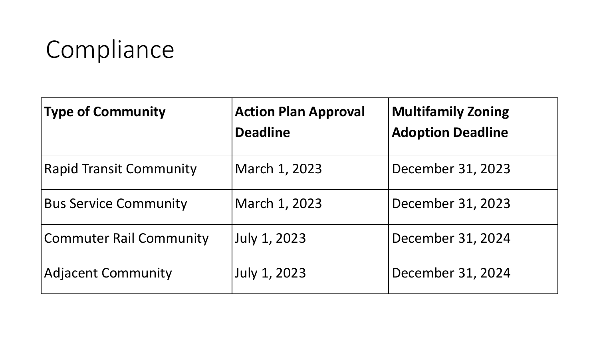## Compliance

| <b>Type of Community</b>       | <b>Action Plan Approval</b><br><b>Deadline</b> | <b>Multifamily Zoning</b><br><b>Adoption Deadline</b> |
|--------------------------------|------------------------------------------------|-------------------------------------------------------|
| <b>Rapid Transit Community</b> | March 1, 2023                                  | December 31, 2023                                     |
| <b>Bus Service Community</b>   | March 1, 2023                                  | December 31, 2023                                     |
| <b>Commuter Rail Community</b> | July 1, 2023                                   | December 31, 2024                                     |
| <b>Adjacent Community</b>      | July 1, 2023                                   | December 31, 2024                                     |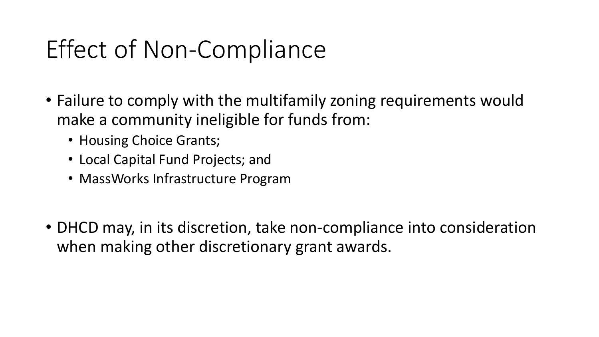#### Effect of Non-Compliance

- Failure to comply with the multifamily zoning requirements would make a community ineligible for funds from:
	- Housing Choice Grants;
	- Local Capital Fund Projects; and
	- MassWorks Infrastructure Program
- DHCD may, in its discretion, take non-compliance into consideration when making other discretionary grant awards.